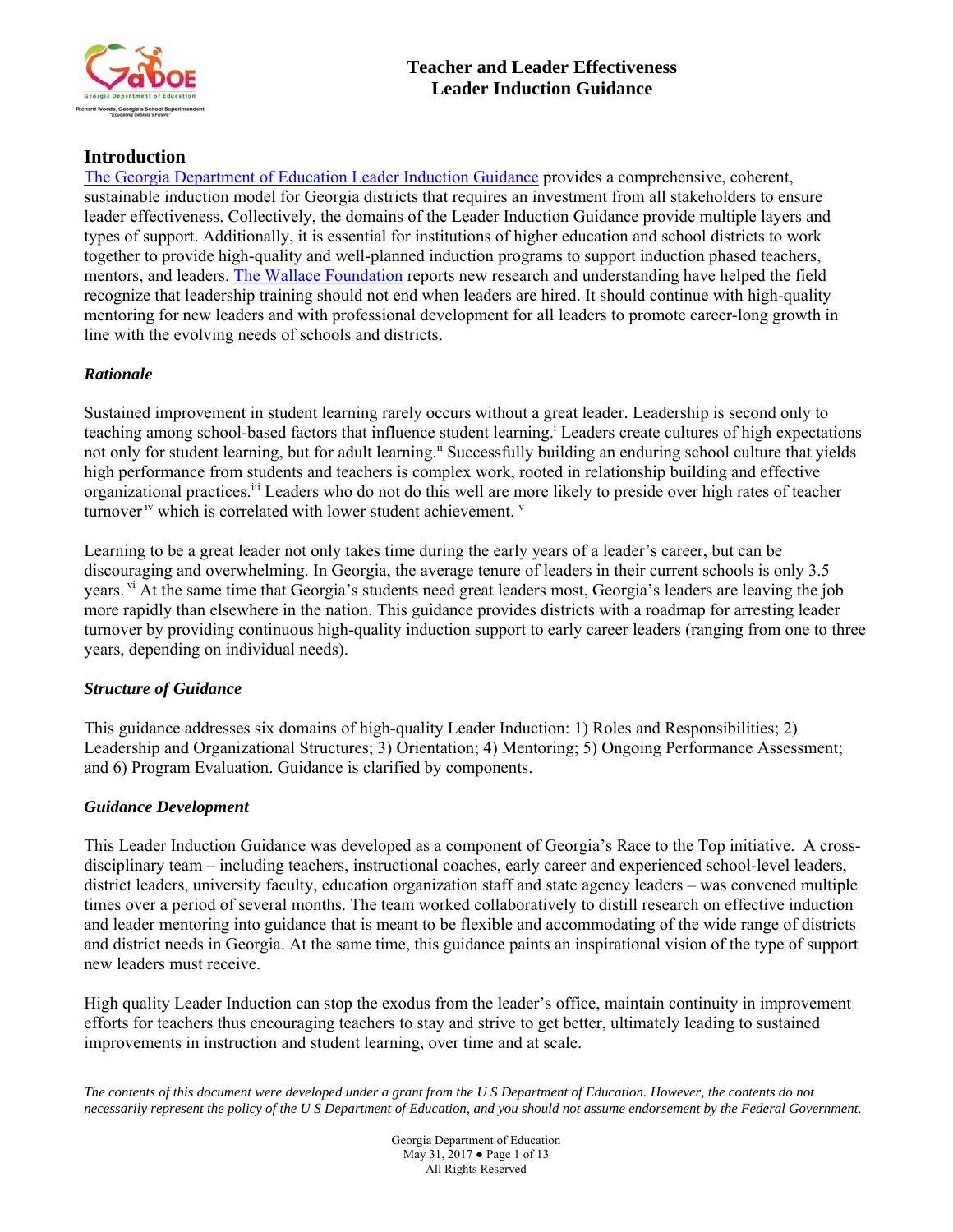

# **Introduction**

The Georgia Department of Education Leader Induction Guidance provides a comprehensive, coherent, sustainable induction model for Georgia districts that requires an investment from all stakeholders to ensure leader effectiveness. Collectively, the domains of the Leader Induction Guidance provide multiple layers and types of support. Additionally, it is essential for institutions of higher education and school districts to work together to provide high-quality and well-planned induction programs to support induction phased teachers, mentors, and leaders. The Wallace Foundation reports new research and understanding have helped the field recognize that leadership training should not end when leaders are hired. It should continue with high-quality mentoring for new leaders and with professional development for all leaders to promote career-long growth in line with the evolving needs of schools and districts.

# *Rationale*

Sustained improvement in student learning rarely occurs without a great leader. Leadership is second only to teaching among school-based factors that influence student learning.i Leaders create cultures of high expectations not only for student learning, but for adult learning.<sup>ii</sup> Successfully building an enduring school culture that yields high performance from students and teachers is complex work, rooted in relationship building and effective organizational practices.iii Leaders who do not do this well are more likely to preside over high rates of teacher turnover  $\dot{v}$  which is correlated with lower student achievement.  $\dot{v}$ 

Learning to be a great leader not only takes time during the early years of a leader's career, but can be discouraging and overwhelming. In Georgia, the average tenure of leaders in their current schools is only 3.5 years. vi At the same time that Georgia's students need great leaders most, Georgia's leaders are leaving the job more rapidly than elsewhere in the nation. This guidance provides districts with a roadmap for arresting leader turnover by providing continuous high-quality induction support to early career leaders (ranging from one to three years, depending on individual needs).

# *Structure of Guidance*

This guidance addresses six domains of high-quality Leader Induction: 1) Roles and Responsibilities; 2) Leadership and Organizational Structures; 3) Orientation; 4) Mentoring; 5) Ongoing Performance Assessment; and 6) Program Evaluation. Guidance is clarified by components.

## *Guidance Development*

This Leader Induction Guidance was developed as a component of Georgia's Race to the Top initiative. A crossdisciplinary team – including teachers, instructional coaches, early career and experienced school-level leaders, district leaders, university faculty, education organization staff and state agency leaders – was convened multiple times over a period of several months. The team worked collaboratively to distill research on effective induction and leader mentoring into guidance that is meant to be flexible and accommodating of the wide range of districts and district needs in Georgia. At the same time, this guidance paints an inspirational vision of the type of support new leaders must receive.

High quality Leader Induction can stop the exodus from the leader's office, maintain continuity in improvement efforts for teachers thus encouraging teachers to stay and strive to get better, ultimately leading to sustained improvements in instruction and student learning, over time and at scale.

*The contents of this document were developed under a grant from the U S Department of Education. However, the contents do not necessarily represent the policy of the U S Department of Education, and you should not assume endorsement by the Federal Government.* 

> Georgia Department of Education May 31, 2017 ● Page 1 of 13 All Rights Reserved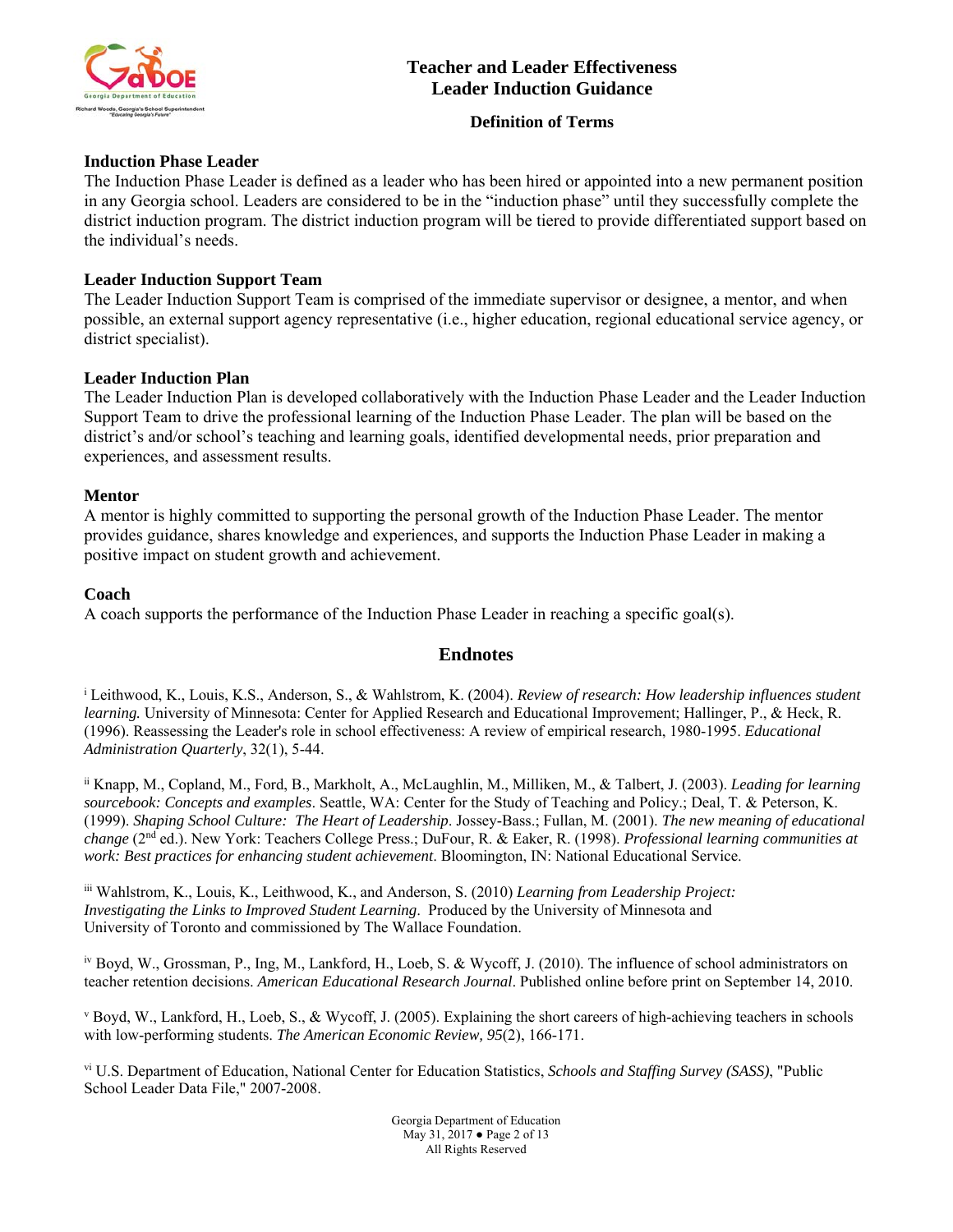

## **Definition of Terms**

## **Induction Phase Leader**

The Induction Phase Leader is defined as a leader who has been hired or appointed into a new permanent position in any Georgia school. Leaders are considered to be in the "induction phase" until they successfully complete the district induction program. The district induction program will be tiered to provide differentiated support based on the individual's needs.

## **Leader Induction Support Team**

The Leader Induction Support Team is comprised of the immediate supervisor or designee, a mentor, and when possible, an external support agency representative (i.e., higher education, regional educational service agency, or district specialist).

# **Leader Induction Plan**

The Leader Induction Plan is developed collaboratively with the Induction Phase Leader and the Leader Induction Support Team to drive the professional learning of the Induction Phase Leader. The plan will be based on the district's and/or school's teaching and learning goals, identified developmental needs, prior preparation and experiences, and assessment results.

## **Mentor**

A mentor is highly committed to supporting the personal growth of the Induction Phase Leader. The mentor provides guidance, shares knowledge and experiences, and supports the Induction Phase Leader in making a positive impact on student growth and achievement.

## **Coach**

A coach supports the performance of the Induction Phase Leader in reaching a specific goal(s).

# **Endnotes**

i Leithwood, K., Louis, K.S., Anderson, S., & Wahlstrom, K. (2004). *Review of research: How leadership influences student learning.* University of Minnesota: Center for Applied Research and Educational Improvement; Hallinger, P., & Heck, R. (1996). Reassessing the Leader's role in school effectiveness: A review of empirical research, 1980-1995. *Educational Administration Quarterly*, 32(1), 5-44.

ii Knapp, M., Copland, M., Ford, B., Markholt, A., McLaughlin, M., Milliken, M., & Talbert, J. (2003). *Leading for learning sourcebook: Concepts and examples*. Seattle, WA: Center for the Study of Teaching and Policy.; Deal, T. & Peterson, K. (1999). *Shaping School Culture: The Heart of Leadership*. Jossey-Bass.; Fullan, M. (2001). *The new meaning of educational change* (2nd ed.). New York: Teachers College Press.; DuFour, R. & Eaker, R. (1998). *Professional learning communities at work: Best practices for enhancing student achievement*. Bloomington, IN: National Educational Service.

iii Wahlstrom, K., Louis, K., Leithwood, K., and Anderson, S. (2010) *Learning from Leadership Project: Investigating the Links to Improved Student Learning*. Produced by the University of Minnesota and University of Toronto and commissioned by The Wallace Foundation.

iv Boyd, W., Grossman, P., Ing, M., Lankford, H., Loeb, S. & Wycoff, J. (2010). The influence of school administrators on teacher retention decisions. *American Educational Research Journal*. Published online before print on September 14, 2010.

v Boyd, W., Lankford, H., Loeb, S., & Wycoff, J. (2005). Explaining the short careers of high-achieving teachers in schools with low-performing students. *The American Economic Review, 95*(2), 166-171.

vi U.S. Department of Education, National Center for Education Statistics, *Schools and Staffing Survey (SASS)*, "Public School Leader Data File," 2007-2008.

> Georgia Department of Education May 31, 2017 ● Page 2 of 13 All Rights Reserved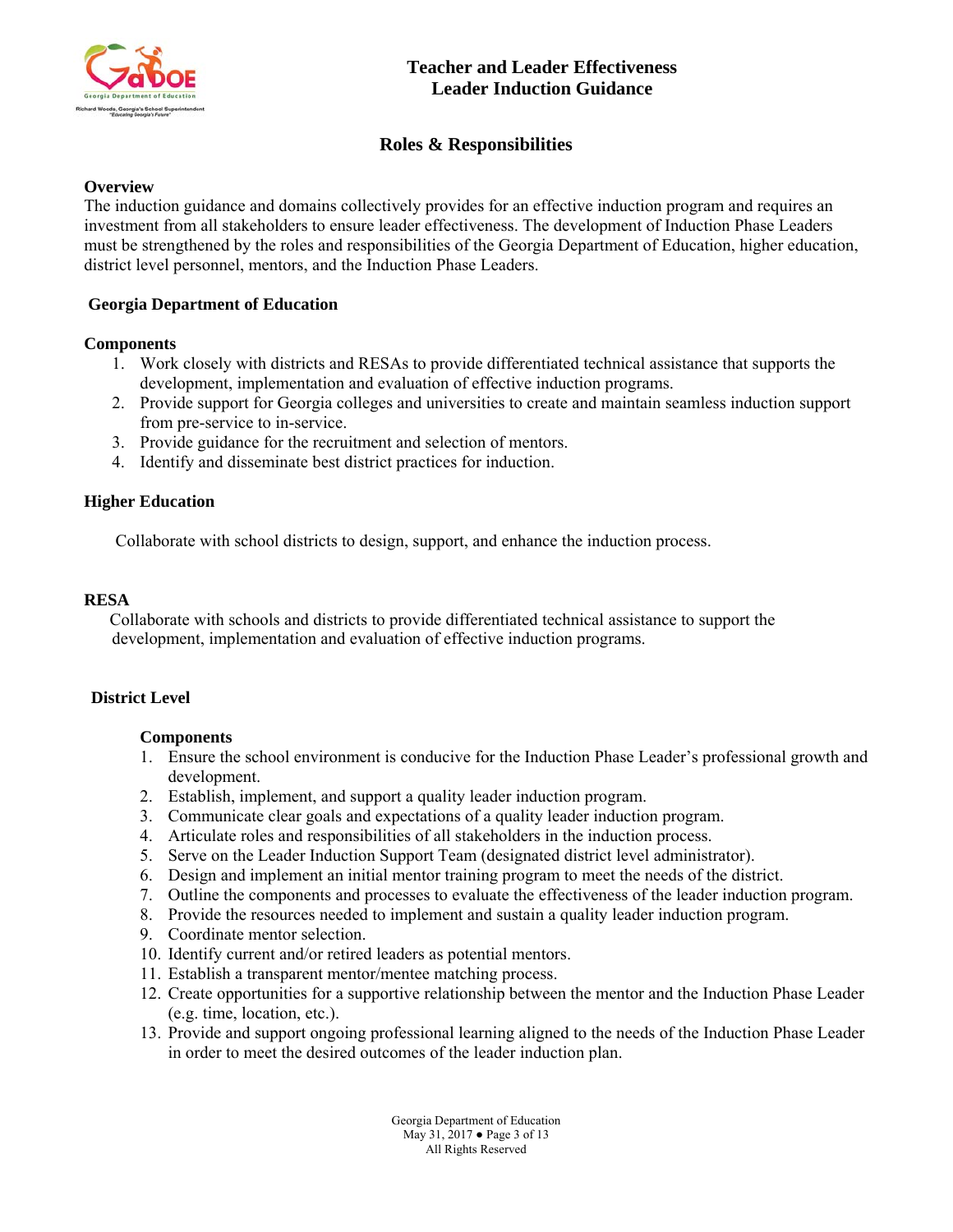

# **Roles & Responsibilities**

## **Overview**

The induction guidance and domains collectively provides for an effective induction program and requires an investment from all stakeholders to ensure leader effectiveness. The development of Induction Phase Leaders must be strengthened by the roles and responsibilities of the Georgia Department of Education, higher education, district level personnel, mentors, and the Induction Phase Leaders.

# **Georgia Department of Education**

## **Components**

- 1. Work closely with districts and RESAs to provide differentiated technical assistance that supports the development, implementation and evaluation of effective induction programs.
- 2. Provide support for Georgia colleges and universities to create and maintain seamless induction support from pre-service to in-service.
- 3. Provide guidance for the recruitment and selection of mentors.
- 4. Identify and disseminate best district practices for induction.

# **Higher Education**

Collaborate with school districts to design, support, and enhance the induction process.

## **RESA**

 Collaborate with schools and districts to provide differentiated technical assistance to support the development, implementation and evaluation of effective induction programs.

## **District Level**

## **Components**

- 1. Ensure the school environment is conducive for the Induction Phase Leader's professional growth and development.
- 2. Establish, implement, and support a quality leader induction program.
- 3. Communicate clear goals and expectations of a quality leader induction program.
- 4. Articulate roles and responsibilities of all stakeholders in the induction process.
- 5. Serve on the Leader Induction Support Team (designated district level administrator).
- 6. Design and implement an initial mentor training program to meet the needs of the district.
- 7. Outline the components and processes to evaluate the effectiveness of the leader induction program.
- 8. Provide the resources needed to implement and sustain a quality leader induction program.
- 9. Coordinate mentor selection.
- 10. Identify current and/or retired leaders as potential mentors.
- 11. Establish a transparent mentor/mentee matching process.
- 12. Create opportunities for a supportive relationship between the mentor and the Induction Phase Leader (e.g. time, location, etc.).
- 13. Provide and support ongoing professional learning aligned to the needs of the Induction Phase Leader in order to meet the desired outcomes of the leader induction plan.

Georgia Department of Education May 31, 2017 ● Page 3 of 13 All Rights Reserved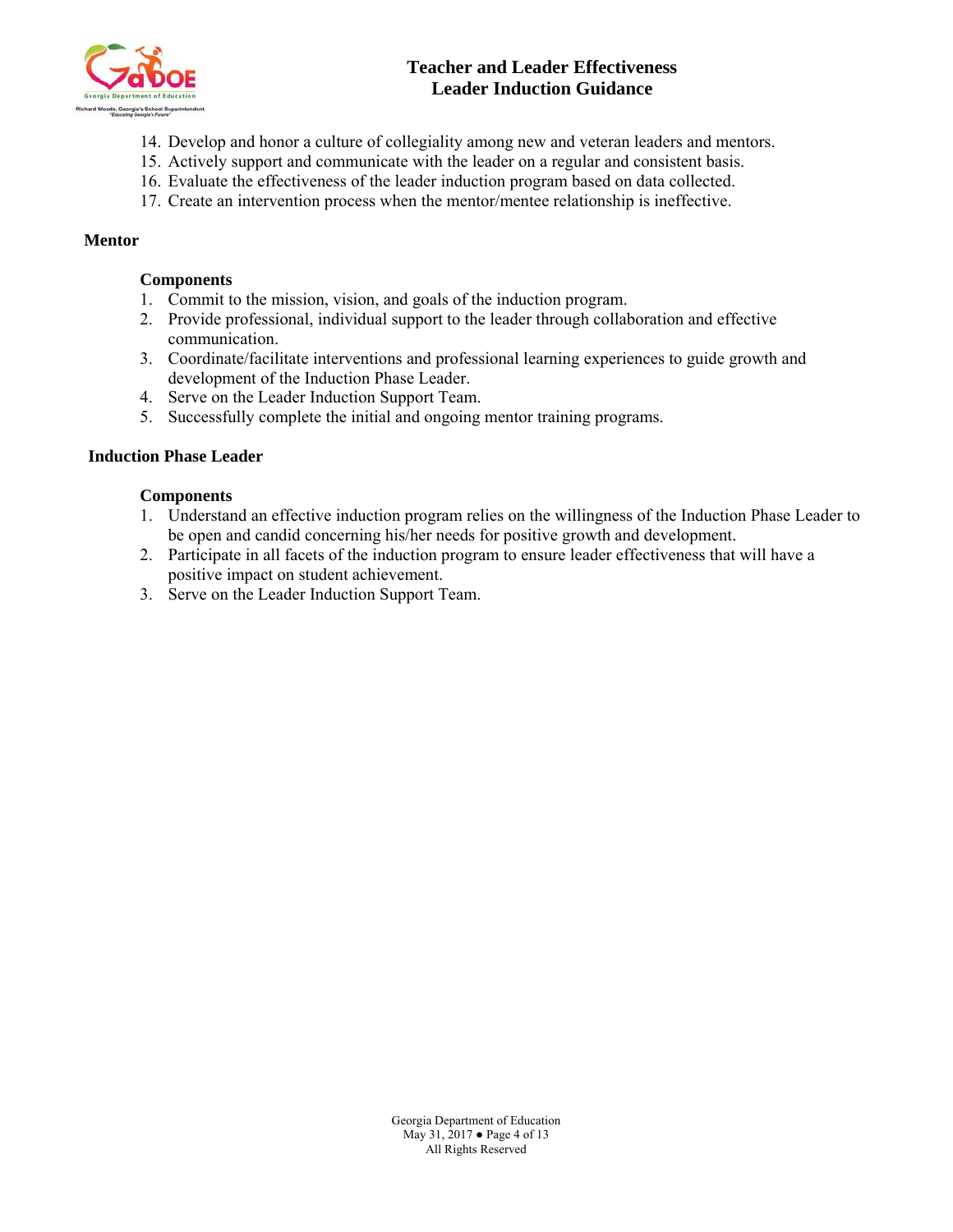

- 14. Develop and honor a culture of collegiality among new and veteran leaders and mentors.
- 15. Actively support and communicate with the leader on a regular and consistent basis.
- 16. Evaluate the effectiveness of the leader induction program based on data collected.
- 17. Create an intervention process when the mentor/mentee relationship is ineffective.

### **Mentor**

## **Components**

- 1. Commit to the mission, vision, and goals of the induction program.
- 2. Provide professional, individual support to the leader through collaboration and effective communication.
- 3. Coordinate/facilitate interventions and professional learning experiences to guide growth and development of the Induction Phase Leader.
- 4. Serve on the Leader Induction Support Team.
- 5. Successfully complete the initial and ongoing mentor training programs.

## **Induction Phase Leader**

- 1. Understand an effective induction program relies on the willingness of the Induction Phase Leader to be open and candid concerning his/her needs for positive growth and development.
- 2. Participate in all facets of the induction program to ensure leader effectiveness that will have a positive impact on student achievement.
- 3. Serve on the Leader Induction Support Team.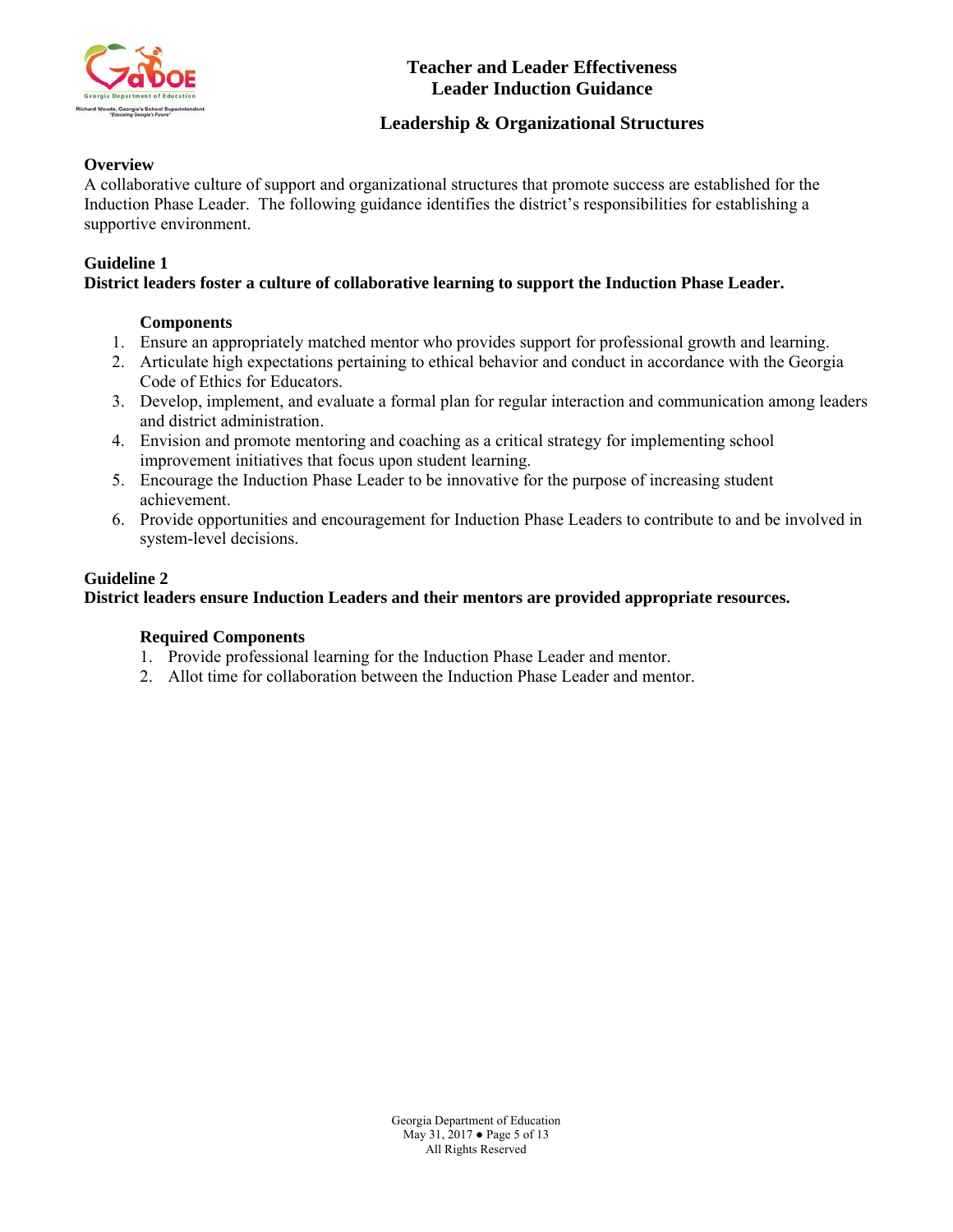

# **Leadership & Organizational Structures**

# **Overview**

A collaborative culture of support and organizational structures that promote success are established for the Induction Phase Leader. The following guidance identifies the district's responsibilities for establishing a supportive environment.

## **Guideline 1**

# **District leaders foster a culture of collaborative learning to support the Induction Phase Leader.**

# **Components**

- 1. Ensure an appropriately matched mentor who provides support for professional growth and learning.
- 2. Articulate high expectations pertaining to ethical behavior and conduct in accordance with the Georgia Code of Ethics for Educators.
- 3. Develop, implement, and evaluate a formal plan for regular interaction and communication among leaders and district administration.
- 4. Envision and promote mentoring and coaching as a critical strategy for implementing school improvement initiatives that focus upon student learning.
- 5. Encourage the Induction Phase Leader to be innovative for the purpose of increasing student achievement.
- 6. Provide opportunities and encouragement for Induction Phase Leaders to contribute to and be involved in system-level decisions.

# **Guideline 2**

**District leaders ensure Induction Leaders and their mentors are provided appropriate resources.** 

# **Required Components**

- 1. Provide professional learning for the Induction Phase Leader and mentor.
- 2. Allot time for collaboration between the Induction Phase Leader and mentor.

Georgia Department of Education May 31, 2017 ● Page 5 of 13 All Rights Reserved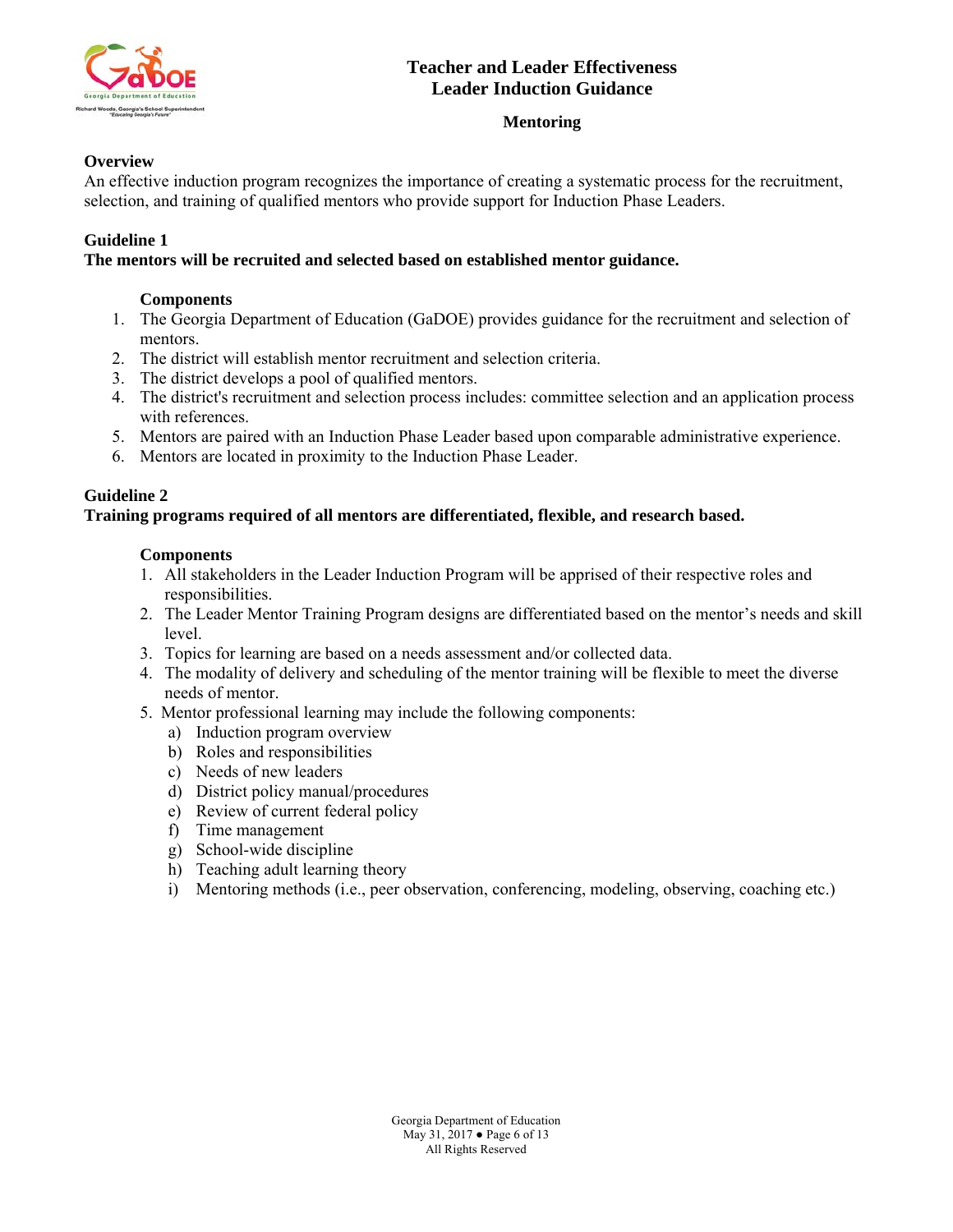

# **Mentoring**

# **Overview**

An effective induction program recognizes the importance of creating a systematic process for the recruitment, selection, and training of qualified mentors who provide support for Induction Phase Leaders.

## **Guideline 1**

## **The mentors will be recruited and selected based on established mentor guidance.**

## **Components**

- 1. The Georgia Department of Education (GaDOE) provides guidance for the recruitment and selection of mentors.
- 2. The district will establish mentor recruitment and selection criteria.
- 3. The district develops a pool of qualified mentors.
- 4. The district's recruitment and selection process includes: committee selection and an application process with references.
- 5. Mentors are paired with an Induction Phase Leader based upon comparable administrative experience.
- 6. Mentors are located in proximity to the Induction Phase Leader.

# **Guideline 2**

## **Training programs required of all mentors are differentiated, flexible, and research based.**

- 1. All stakeholders in the Leader Induction Program will be apprised of their respective roles and responsibilities.
- 2. The Leader Mentor Training Program designs are differentiated based on the mentor's needs and skill level.
- 3. Topics for learning are based on a needs assessment and/or collected data.
- 4. The modality of delivery and scheduling of the mentor training will be flexible to meet the diverse needs of mentor.
- 5. Mentor professional learning may include the following components:
	- a) Induction program overview
	- b) Roles and responsibilities
	- c) Needs of new leaders
	- d) District policy manual/procedures
	- e) Review of current federal policy
	- f) Time management
	- g) School-wide discipline
	- h) Teaching adult learning theory
	- i) Mentoring methods (i.e., peer observation, conferencing, modeling, observing, coaching etc.)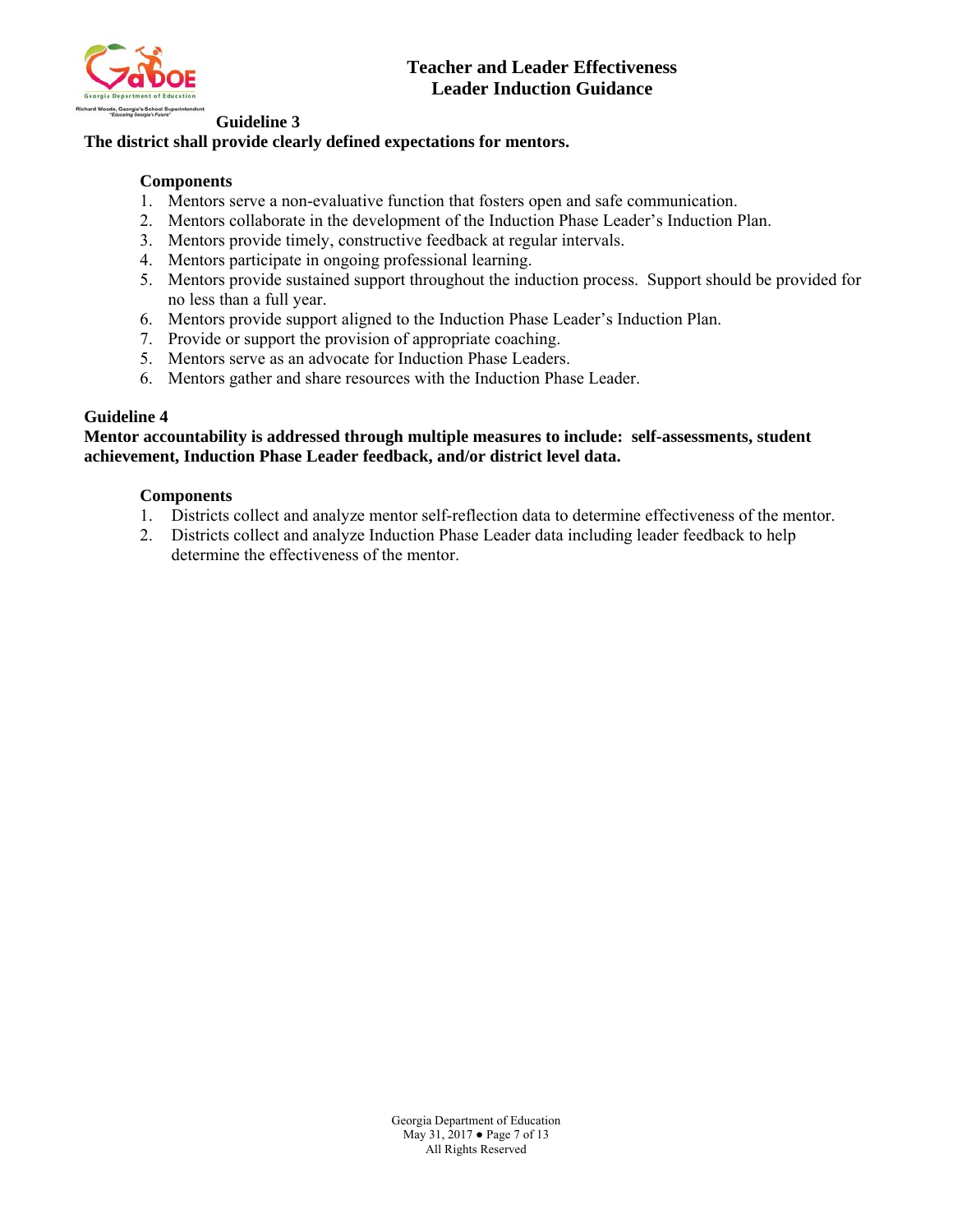

#### **Guideline 3**

# **The district shall provide clearly defined expectations for mentors.**

# **Components**

- 1. Mentors serve a non-evaluative function that fosters open and safe communication.
- 2. Mentors collaborate in the development of the Induction Phase Leader's Induction Plan.
- 3. Mentors provide timely, constructive feedback at regular intervals.
- 4. Mentors participate in ongoing professional learning.
- 5. Mentors provide sustained support throughout the induction process. Support should be provided for no less than a full year.
- 6. Mentors provide support aligned to the Induction Phase Leader's Induction Plan.
- 7. Provide or support the provision of appropriate coaching.
- 5. Mentors serve as an advocate for Induction Phase Leaders.
- 6. Mentors gather and share resources with the Induction Phase Leader.

### **Guideline 4**

### **Mentor accountability is addressed through multiple measures to include: self-assessments, student achievement, Induction Phase Leader feedback, and/or district level data.**

### **Components**

- 1. Districts collect and analyze mentor self-reflection data to determine effectiveness of the mentor.
- 2. Districts collect and analyze Induction Phase Leader data including leader feedback to help determine the effectiveness of the mentor.

Georgia Department of Education May 31, 2017 ● Page 7 of 13 All Rights Reserved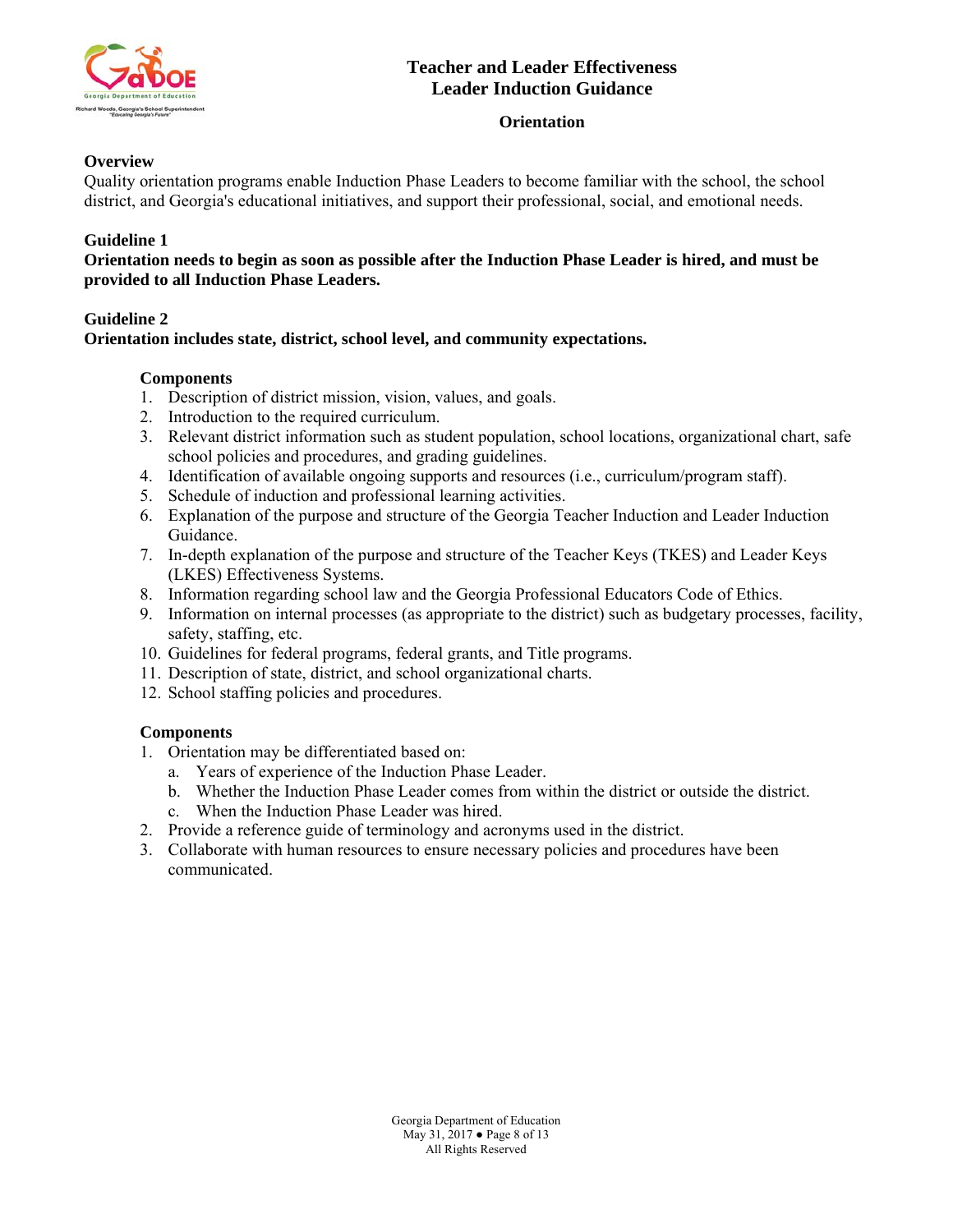

# **Orientation**

# **Overview**

Quality orientation programs enable Induction Phase Leaders to become familiar with the school, the school district, and Georgia's educational initiatives, and support their professional, social, and emotional needs.

# **Guideline 1**

**Orientation needs to begin as soon as possible after the Induction Phase Leader is hired, and must be provided to all Induction Phase Leaders.** 

# **Guideline 2**

# **Orientation includes state, district, school level, and community expectations.**

## **Components**

- 1. Description of district mission, vision, values, and goals.
- 2. Introduction to the required curriculum.
- 3. Relevant district information such as student population, school locations, organizational chart, safe school policies and procedures, and grading guidelines.
- 4. Identification of available ongoing supports and resources (i.e., curriculum/program staff).
- 5. Schedule of induction and professional learning activities.
- 6. Explanation of the purpose and structure of the Georgia Teacher Induction and Leader Induction Guidance.
- 7. In-depth explanation of the purpose and structure of the Teacher Keys (TKES) and Leader Keys (LKES) Effectiveness Systems.
- 8. Information regarding school law and the Georgia Professional Educators Code of Ethics.
- 9. Information on internal processes (as appropriate to the district) such as budgetary processes, facility, safety, staffing, etc.
- 10. Guidelines for federal programs, federal grants, and Title programs.
- 11. Description of state, district, and school organizational charts.
- 12. School staffing policies and procedures.

- 1. Orientation may be differentiated based on:
	- a. Years of experience of the Induction Phase Leader.
	- b. Whether the Induction Phase Leader comes from within the district or outside the district.
	- c. When the Induction Phase Leader was hired.
- 2. Provide a reference guide of terminology and acronyms used in the district.
- 3. Collaborate with human resources to ensure necessary policies and procedures have been communicated.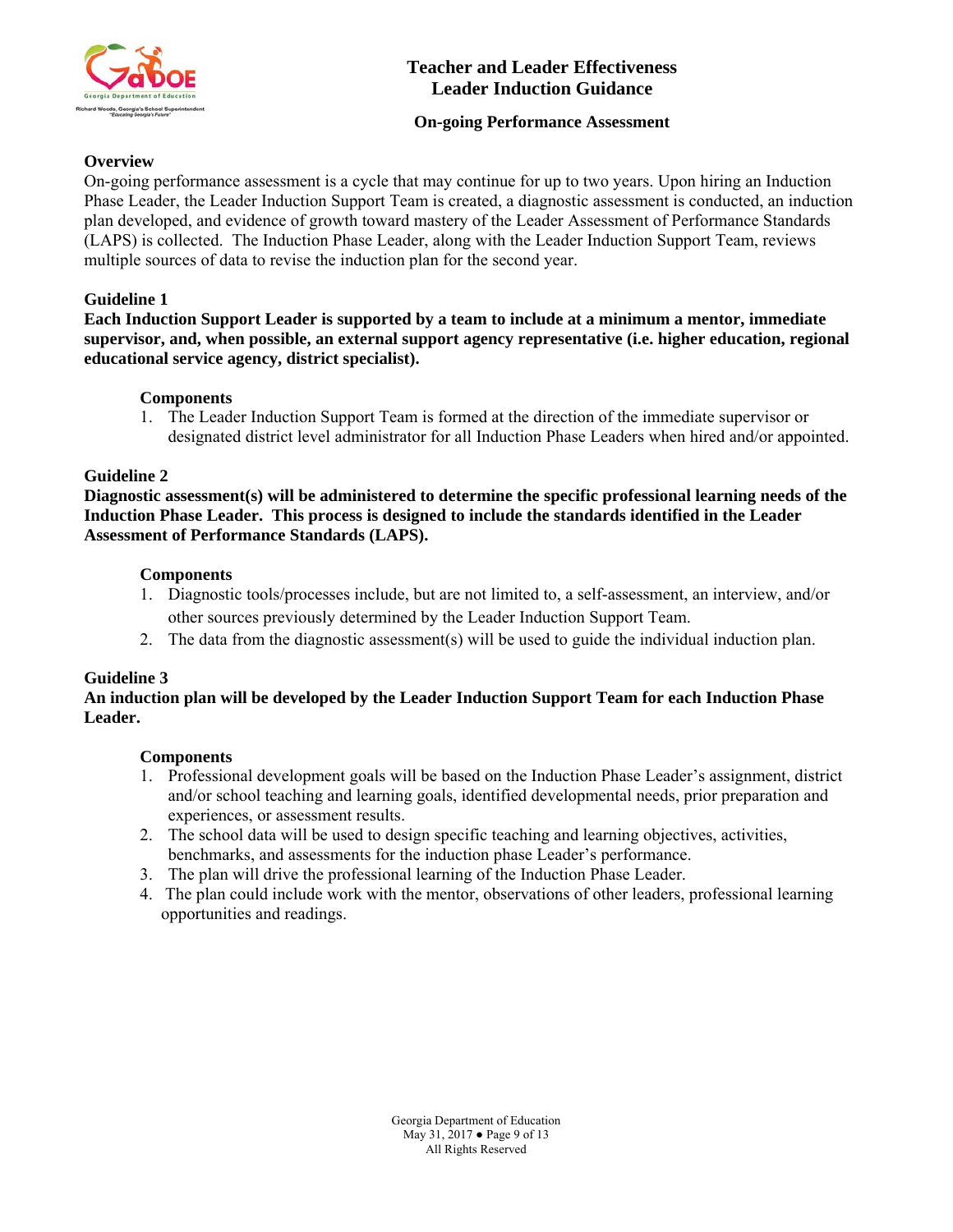

# **On-going Performance Assessment**

# **Overview**

On-going performance assessment is a cycle that may continue for up to two years. Upon hiring an Induction Phase Leader, the Leader Induction Support Team is created, a diagnostic assessment is conducted, an induction plan developed, and evidence of growth toward mastery of the Leader Assessment of Performance Standards (LAPS) is collected. The Induction Phase Leader, along with the Leader Induction Support Team, reviews multiple sources of data to revise the induction plan for the second year.

# **Guideline 1**

**Each Induction Support Leader is supported by a team to include at a minimum a mentor, immediate supervisor, and, when possible, an external support agency representative (i.e. higher education, regional educational service agency, district specialist).** 

## **Components**

1. The Leader Induction Support Team is formed at the direction of the immediate supervisor or designated district level administrator for all Induction Phase Leaders when hired and/or appointed.

## **Guideline 2**

**Diagnostic assessment(s) will be administered to determine the specific professional learning needs of the Induction Phase Leader. This process is designed to include the standards identified in the Leader Assessment of Performance Standards (LAPS).** 

## **Components**

- 1. Diagnostic tools/processes include, but are not limited to, a self-assessment, an interview, and/or other sources previously determined by the Leader Induction Support Team.
- 2. The data from the diagnostic assessment(s) will be used to guide the individual induction plan.

## **Guideline 3**

# **An induction plan will be developed by the Leader Induction Support Team for each Induction Phase Leader.**

- 1. Professional development goals will be based on the Induction Phase Leader's assignment, district and/or school teaching and learning goals, identified developmental needs, prior preparation and experiences, or assessment results.
- 2. The school data will be used to design specific teaching and learning objectives, activities, benchmarks, and assessments for the induction phase Leader's performance.
- 3. The plan will drive the professional learning of the Induction Phase Leader.
- 4. The plan could include work with the mentor, observations of other leaders, professional learning opportunities and readings.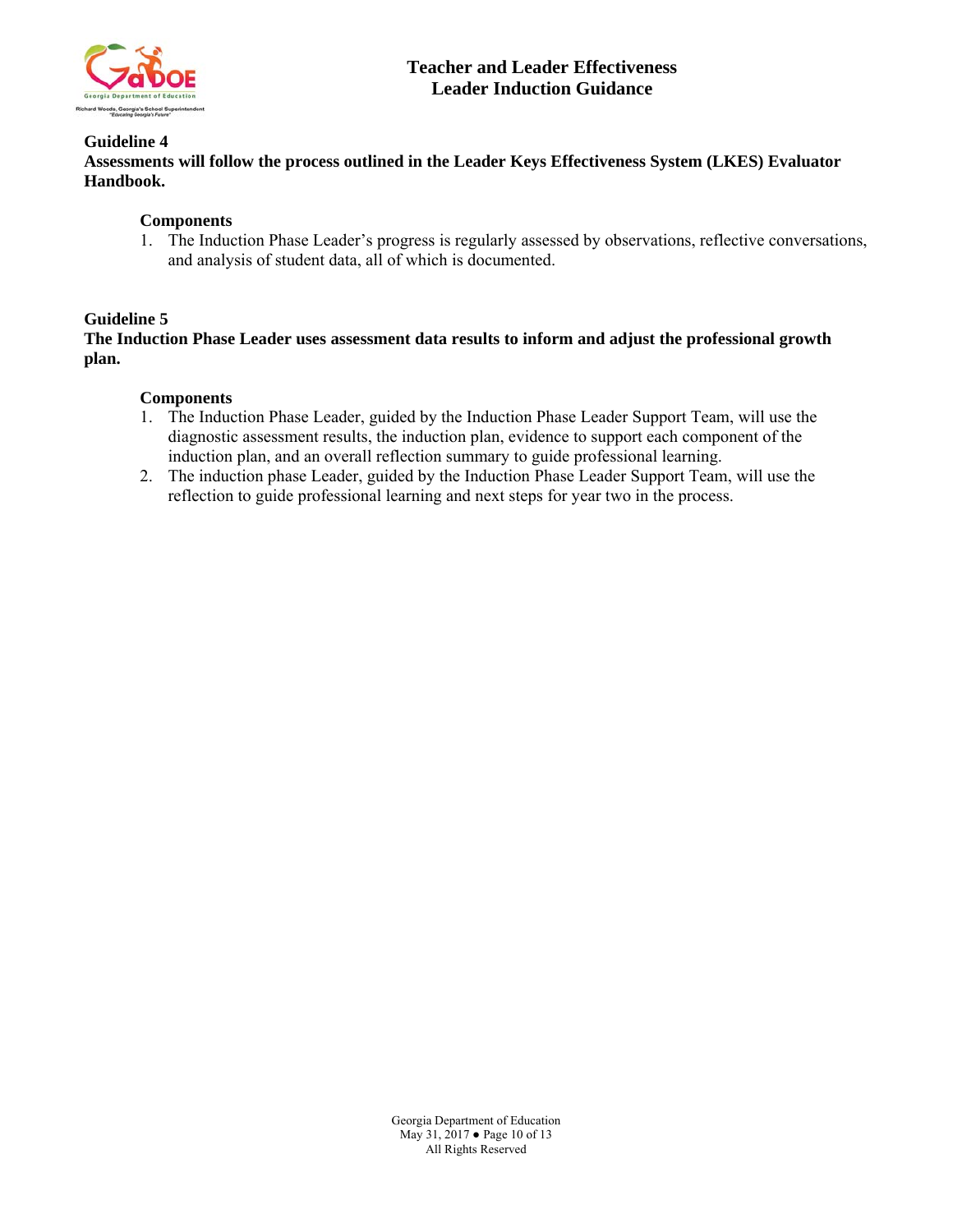

### **Guideline 4**

**Assessments will follow the process outlined in the Leader Keys Effectiveness System (LKES) Evaluator Handbook.** 

### **Components**

1. The Induction Phase Leader's progress is regularly assessed by observations, reflective conversations, and analysis of student data, all of which is documented.

### **Guideline 5**

**The Induction Phase Leader uses assessment data results to inform and adjust the professional growth plan.** 

- 1. The Induction Phase Leader, guided by the Induction Phase Leader Support Team, will use the diagnostic assessment results, the induction plan, evidence to support each component of the induction plan, and an overall reflection summary to guide professional learning.
- 2. The induction phase Leader, guided by the Induction Phase Leader Support Team, will use the reflection to guide professional learning and next steps for year two in the process.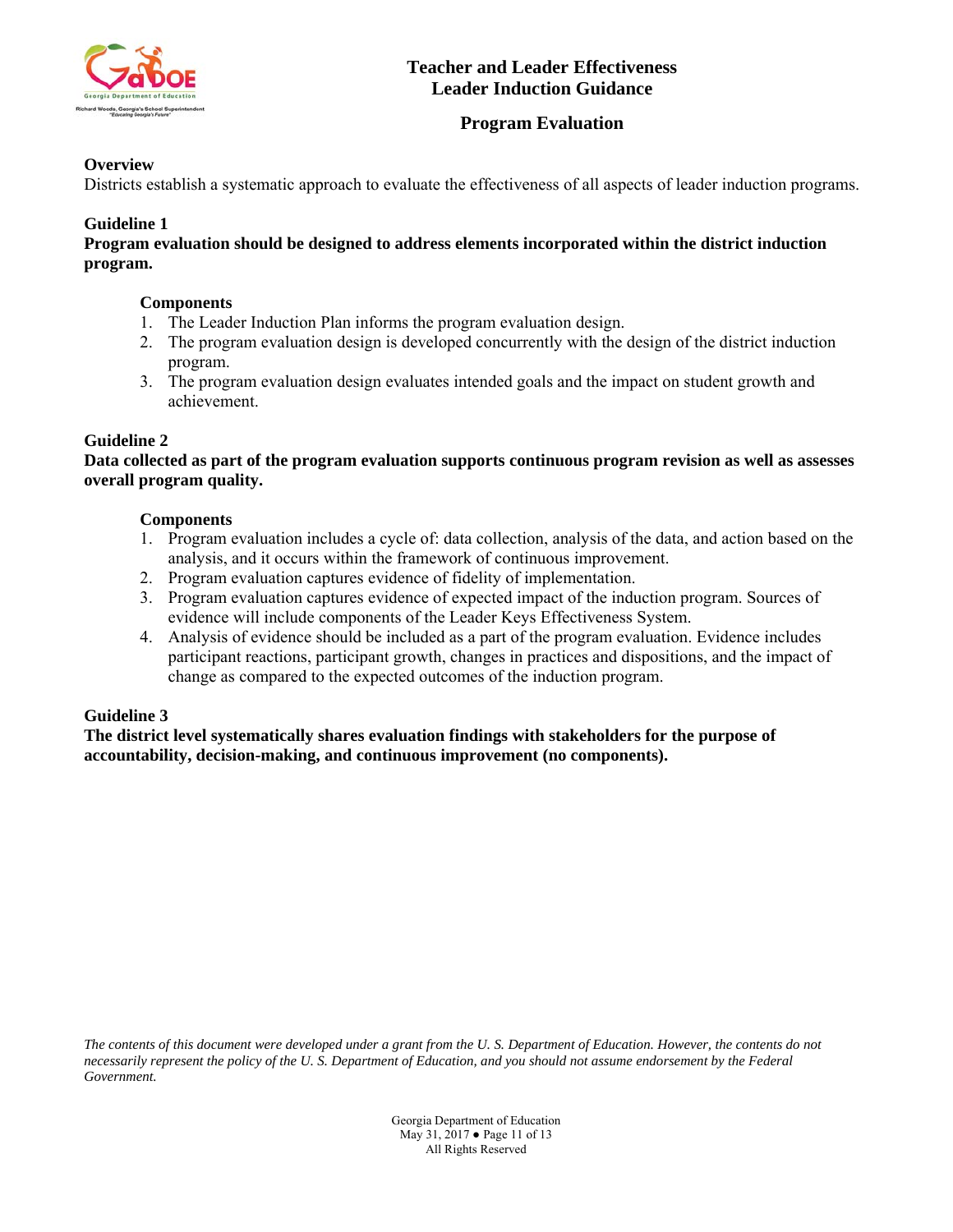

# **Program Evaluation**

# **Overview**

Districts establish a systematic approach to evaluate the effectiveness of all aspects of leader induction programs.

# **Guideline 1**

**Program evaluation should be designed to address elements incorporated within the district induction program.** 

## **Components**

- 1. The Leader Induction Plan informs the program evaluation design.
- 2. The program evaluation design is developed concurrently with the design of the district induction program.
- 3. The program evaluation design evaluates intended goals and the impact on student growth and achievement.

# **Guideline 2**

**Data collected as part of the program evaluation supports continuous program revision as well as assesses overall program quality.** 

## **Components**

- 1. Program evaluation includes a cycle of: data collection, analysis of the data, and action based on the analysis, and it occurs within the framework of continuous improvement.
- 2. Program evaluation captures evidence of fidelity of implementation.
- 3. Program evaluation captures evidence of expected impact of the induction program. Sources of evidence will include components of the Leader Keys Effectiveness System.
- 4. Analysis of evidence should be included as a part of the program evaluation. Evidence includes participant reactions, participant growth, changes in practices and dispositions, and the impact of change as compared to the expected outcomes of the induction program.

## **Guideline 3**

**The district level systematically shares evaluation findings with stakeholders for the purpose of accountability, decision-making, and continuous improvement (no components).** 

*The contents of this document were developed under a grant from the U. S. Department of Education. However, the contents do not necessarily represent the policy of the U. S. Department of Education, and you should not assume endorsement by the Federal Government.* 

> Georgia Department of Education May 31, 2017 ● Page 11 of 13 All Rights Reserved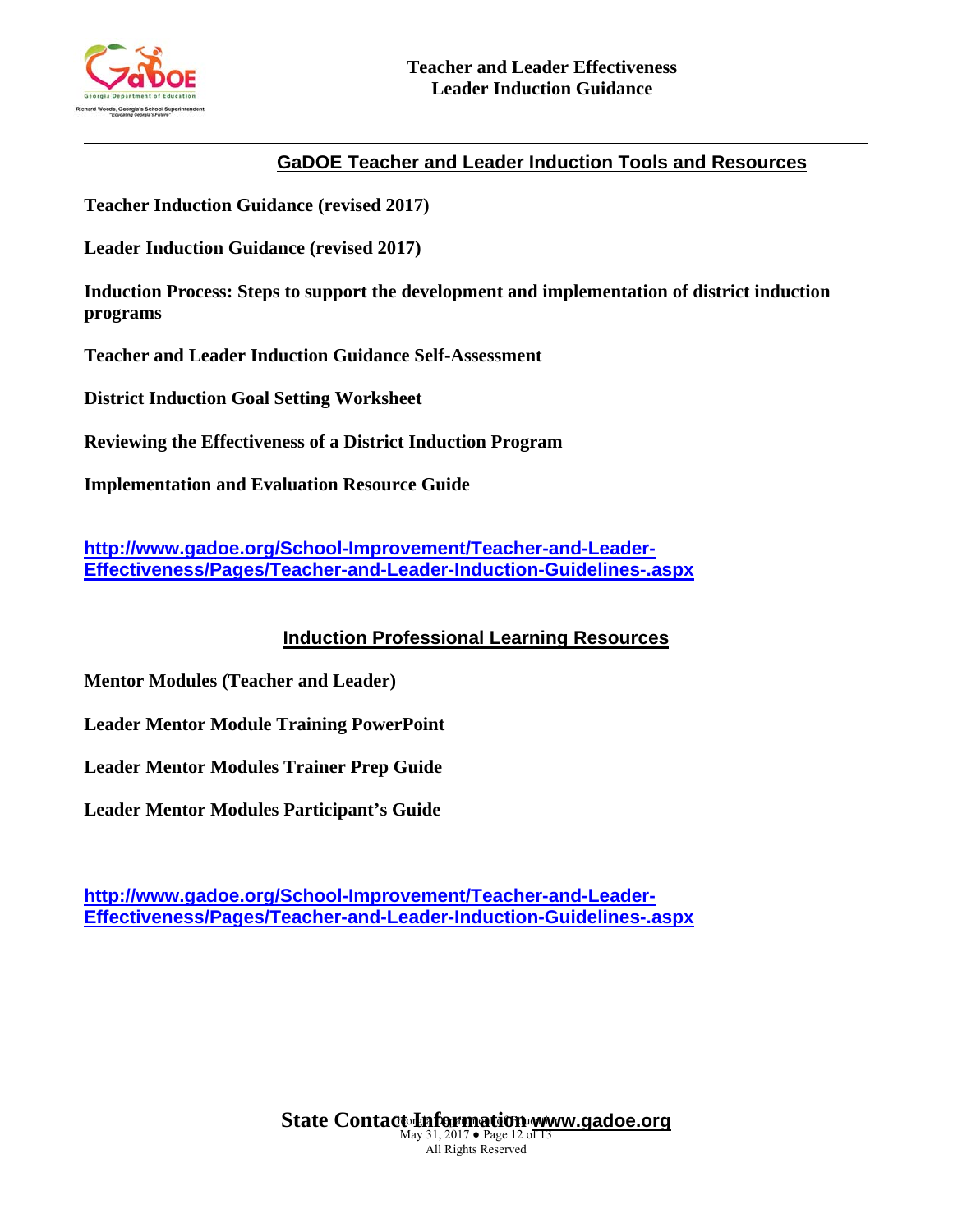

l

# **GaDOE Teacher and Leader Induction Tools and Resources**

**Teacher Induction Guidance (revised 2017)** 

**Leader Induction Guidance (revised 2017)** 

**Induction Process: Steps to support the development and implementation of district induction programs** 

**Teacher and Leader Induction Guidance Self-Assessment** 

**District Induction Goal Setting Worksheet** 

**Reviewing the Effectiveness of a District Induction Program** 

**Implementation and Evaluation Resource Guide** 

**http://www.gadoe.org/School-Improvement/Teacher-and-Leader-Effectiveness/Pages/Teacher-and-Leader-Induction-Guidelines-.aspx** 

**Induction Professional Learning Resources**

**Mentor Modules (Teacher and Leader)** 

**Leader Mentor Module Training PowerPoint** 

**Leader Mentor Modules Trainer Prep Guide** 

**Leader Mentor Modules Participant's Guide** 

**http://www.gadoe.org/School-Improvement/Teacher-and-Leader-Effectiveness/Pages/Teacher-and-Leader-Induction-Guidelines-.aspx**